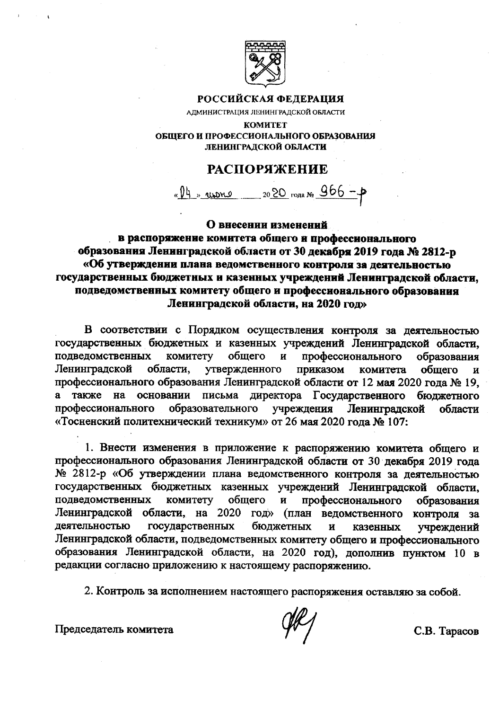

## РОССИЙСКАЯ ФЕДЕРАЦИЯ

АДМИНИСТРАЦИЯ ЛЕНИНГРАДСКОЙ ОБЛАСТИ

**KOMHTET** ОБЩЕГО И ПРОФЕССИОНАЛЬНОГО ОБРАЗОВАНИЯ ЛЕНИНГРАДСКОЙ ОБЛАСТИ

## **РАСПОРЯЖЕНИЕ**

« 14 » иноно 2020 года № 966 - р

## О внесении изменений

в распоряжение комитета общего и профессионального образования Ленинградской области от 30 декабря 2019 года № 2812-р «Об утверждении плана ведомственного контроля за деятельностью государственных бюджетных и казенных учреждений Ленинградской области. подведомственных комитету общего и профессионального образования Ленинградской области, на 2020 год»

В соответствии с Порядком осуществления контроля за деятельностью государственных бюджетных и казенных учреждений Ленинградской области, подведомственных комитету общего профессионального  $\mathbf{H}$ образования Ленинградской области, утвержденного приказом комитета общего  $\overline{\mathbf{M}}$ профессионального образования Ленинградской области от 12 мая 2020 года № 19, также на основании письма директора Государственного бюджетного учреждения профессионального образовательного Ленинградской области «Тосненский политехнический техникум» от 26 мая 2020 года № 107:

1. Внести изменения в приложение к распоряжению комитета общего и профессионального образования Ленинградской области от 30 декабря 2019 года № 2812-р «Об утверждении плана ведомственного контроля за деятельностью государственных бюджетных казенных учреждений Ленинградской области, подведомственных комитету профессионального общего  $\mathbf{H}$ образования Ленинградской области, на 2020 год» (план ведомственного контроля  $3a$ деятельностью государственных бюджетных  $\ddot{\mathbf{H}}$ казенных учреждений Ленинградской области, подведомственных комитету общего и профессионального образования Ленинградской области, на 2020 год), дополнив пунктом 10 в редакции согласно приложению к настоящему распоряжению.

2. Контроль за исполнением настоящего распоряжения оставляю за собой.

Председатель комитета

С.В. Тарасов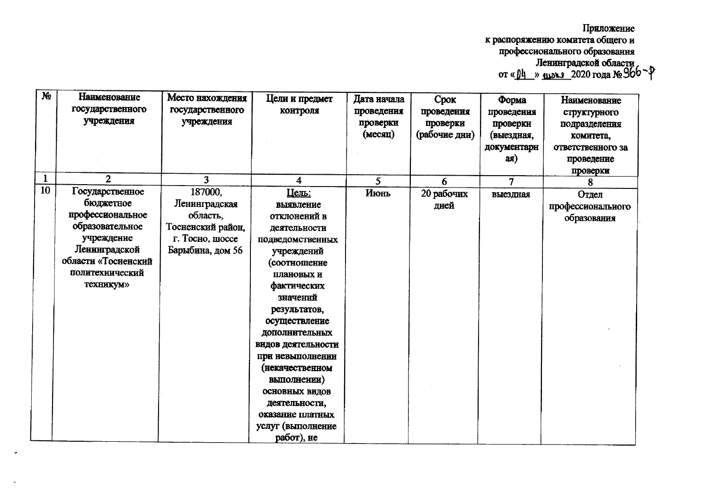Приложение к распоряжению комитета общего и<br>профессионального образования<br>Ленинградской области<br>от « $04 \rightarrow 2020$  года № 360

| N <sub>2</sub><br>1 | Наименование<br>тосударственного<br>учреждения<br>$\overline{2}$                                                                                     | Место нахождения<br>государственного<br>учреждения<br>3                               | Цели и предмет<br>контроля<br>4                                                                                                                                                                                                                                                                                                                               | Дата начала<br>проведения<br>проверки<br>(MECHII) | Срок<br>проведения<br>проверки<br>(рабочие дни) | Форма<br>проведения<br>проверки<br>(выездная,<br>документарн<br>$a$ я $)$ | Наименование<br>структурного<br>подразделения<br>комитета,<br>ответственного за<br>проведение<br>проверки |
|---------------------|------------------------------------------------------------------------------------------------------------------------------------------------------|---------------------------------------------------------------------------------------|---------------------------------------------------------------------------------------------------------------------------------------------------------------------------------------------------------------------------------------------------------------------------------------------------------------------------------------------------------------|---------------------------------------------------|-------------------------------------------------|---------------------------------------------------------------------------|-----------------------------------------------------------------------------------------------------------|
| 10                  | Государственное                                                                                                                                      | 187000,                                                                               | <u>Цель:</u>                                                                                                                                                                                                                                                                                                                                                  | 5<br>Июнь                                         | 6<br>20 рабочих                                 | 7                                                                         | 8                                                                                                         |
|                     | бюджетное<br>профессиональное<br>образовательное<br>учреждение<br>Ленинградской<br>области «Тосненский<br>политехнический<br><b>TeXHHKYM&gt;&gt;</b> | Ленинградская<br>область.<br>Тосненский район,<br>г. Тосно, шоссе<br>Барыбина, дом 56 | выявление<br>отклонений в<br>деятельности<br>подведомственных<br>учреждений<br>(соотношение<br>плановых и<br>фактических<br>значений<br>результатов,<br>осуществление<br>дополнительных<br>видов деятельности<br>при невыполнении<br>(некачественном<br>выполнении)<br>основных видов<br>деятельности,<br>оказание платных<br>услуг (выполнение<br>работ), не |                                                   | дней                                            | выездная                                                                  | Отдел<br>профессионального<br>образования                                                                 |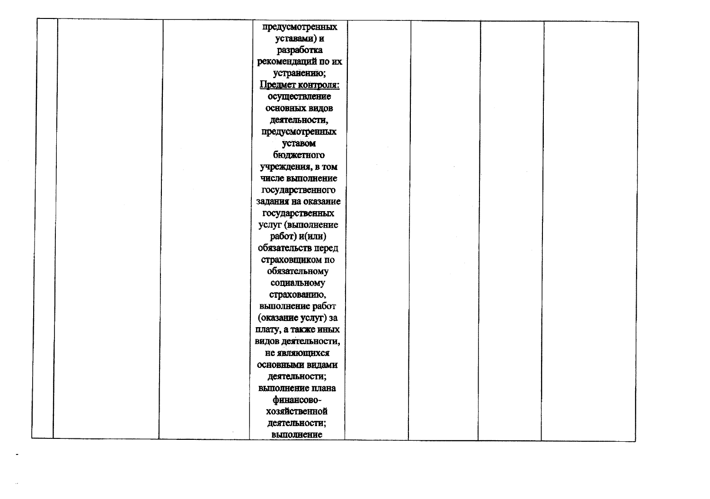|  | предусмотренных       |  |  |
|--|-----------------------|--|--|
|  | уставами) и           |  |  |
|  | разработка            |  |  |
|  | рекомендаций по их    |  |  |
|  | устранению;           |  |  |
|  | Предмет контроля:     |  |  |
|  | осуществление         |  |  |
|  | <b>ОСНОВНЫХ ВИДОВ</b> |  |  |
|  | деятельности,         |  |  |
|  | предусмотренных       |  |  |
|  | уставом               |  |  |
|  | бюджетного            |  |  |
|  | учреждения, в том     |  |  |
|  | числе выполнение      |  |  |
|  | государственного      |  |  |
|  | задания на оказание   |  |  |
|  | государственных       |  |  |
|  | услуг (выполнение     |  |  |
|  | работ) и(или)         |  |  |
|  | обязательств перед    |  |  |
|  | страховщиком по       |  |  |
|  | обязательному         |  |  |
|  | социальному           |  |  |
|  | страхованию,          |  |  |
|  | выполнение работ      |  |  |
|  | (оказание услуг) за   |  |  |
|  | плату, а также иных   |  |  |
|  | видов деятельности,   |  |  |
|  | не являющихся         |  |  |
|  | основными видами      |  |  |
|  | деятельности;         |  |  |
|  | выполнение плана      |  |  |
|  | финансово-            |  |  |
|  | хозяйственной         |  |  |
|  | деятельности;         |  |  |
|  | выполнение            |  |  |

 $\alpha$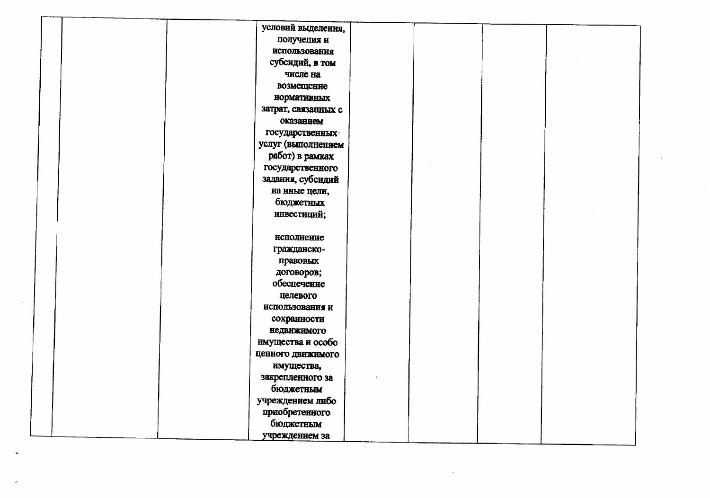|  |  | условий выделения,  |  |  |  |
|--|--|---------------------|--|--|--|
|  |  | получения и         |  |  |  |
|  |  | использования       |  |  |  |
|  |  | субсидий, в том     |  |  |  |
|  |  | числе на            |  |  |  |
|  |  | возмещение          |  |  |  |
|  |  | нормативных         |  |  |  |
|  |  | затрат, связанных с |  |  |  |
|  |  | оказанием           |  |  |  |
|  |  | государственных     |  |  |  |
|  |  | услуг (выполнением  |  |  |  |
|  |  | работ) в рамках     |  |  |  |
|  |  | государственного    |  |  |  |
|  |  | задания, субсидий   |  |  |  |
|  |  | на иные цели,       |  |  |  |
|  |  | бюджетных           |  |  |  |
|  |  | инвестиций;         |  |  |  |
|  |  |                     |  |  |  |
|  |  | исполнение          |  |  |  |
|  |  | гражданско-         |  |  |  |
|  |  | правовых            |  |  |  |
|  |  | договоров;          |  |  |  |
|  |  | обеспечение         |  |  |  |
|  |  | целевого            |  |  |  |
|  |  | использования и     |  |  |  |
|  |  | сохранности         |  |  |  |
|  |  | недвижимого         |  |  |  |
|  |  | имущества и особо   |  |  |  |
|  |  | ценного движимого   |  |  |  |
|  |  | имущества,          |  |  |  |
|  |  | закрепленного за    |  |  |  |
|  |  | бюджетным           |  |  |  |
|  |  | учреждением либо    |  |  |  |
|  |  | приобретенного      |  |  |  |
|  |  | бюджетным           |  |  |  |
|  |  | учреждением за      |  |  |  |

 $\sim$